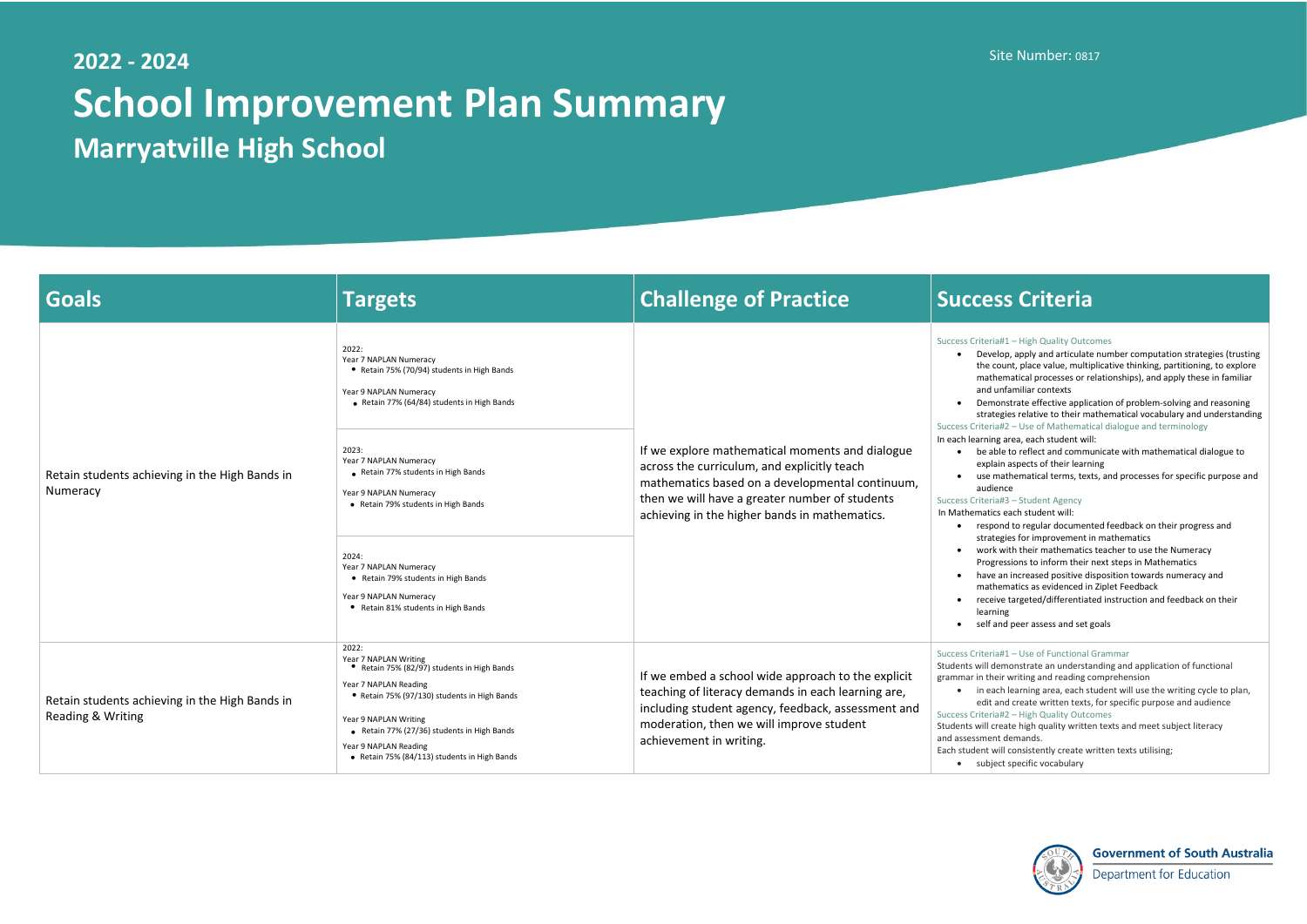# **2022 - 2024 School Improvement Plan Summary Marryatville High School**

## Site Number: 0817

### ria#1 – High Quality Outcomes

velop, apply and articulate number computation strategies (trusting e count, place value, multiplicative thinking, partitioning, to explore thematical processes or relationships), and apply these in familiar d unfamiliar contexts

monstrate effective application of problem-solving and reasoning ategies relative to their mathematical vocabulary and understanding ria#2 – Use of Mathematical dialogue and terminology

ing area, each student will:

able to reflect and communicate with mathematical dialogue to blain aspects of their learning

en mathematical terms, texts, and processes for specific purpose and dience

pond to regular documented feedback on their progress and ategies for improvement in mathematics

rk with their mathematics teacher to use the Numeracy

pgressions to inform their next steps in Mathematics

ve an increased positive disposition towards numeracy and

thematics as evidenced in Ziplet Feedback

reive targeted/differentiated instruction and feedback on their rning

f and peer assess and set goals

## ria#1 – Use of Functional Grammar

demonstrate an understanding and application of functional heir writing and reading comprehension

each learning area, each student will use the writing cycle to plan, t and create written texts, for specific purpose and audience ria#2 – High Quality Outcomes

create high quality written texts and meet subject literacy ent demands.

t will consistently create written texts utilising;



**Government of South Australia** 

**Department for Education** 

| <b>Goals</b>                                                        | <b>Targets</b>                                                                                                                                                                                                                                                                                          | <b>Challenge of Practice</b>                                                                                                                                                                                                                         | <b>Success Criteria</b>                                                                                                                                                                                                                                                                                                                                                                                                                                                                                                                                                                                                                                                                                                                                                                             |
|---------------------------------------------------------------------|---------------------------------------------------------------------------------------------------------------------------------------------------------------------------------------------------------------------------------------------------------------------------------------------------------|------------------------------------------------------------------------------------------------------------------------------------------------------------------------------------------------------------------------------------------------------|-----------------------------------------------------------------------------------------------------------------------------------------------------------------------------------------------------------------------------------------------------------------------------------------------------------------------------------------------------------------------------------------------------------------------------------------------------------------------------------------------------------------------------------------------------------------------------------------------------------------------------------------------------------------------------------------------------------------------------------------------------------------------------------------------------|
| Retain students achieving in the High Bands in<br>Numeracy          | 2022:<br>Year 7 NAPLAN Numeracy<br>• Retain 75% (70/94) students in High Bands<br>Year 9 NAPLAN Numeracy<br>Retain 77% (64/84) students in High Bands                                                                                                                                                   | If we explore mathematical moments and dialogue<br>across the curriculum, and explicitly teach<br>mathematics based on a developmental continuum,<br>then we will have a greater number of students<br>achieving in the higher bands in mathematics. | Success Criteria#1 - High Quality Outco<br>Develop, apply and articulate<br>the count, place value, multip<br>mathematical processes or re<br>and unfamiliar contexts<br>Demonstrate effective applic<br>strategies relative to their ma<br>Success Criteria#2 - Use of Mathemati<br>In each learning area, each student wil<br>be able to reflect and commu<br>explain aspects of their learn<br>use mathematical terms, text<br>audience<br>Success Criteria#3 - Student Agency<br>In Mathematics each student will:<br>respond to regular document<br>strategies for improvement i<br>work with their mathematics<br>Progressions to inform their<br>have an increased positive di<br>mathematics as evidenced in<br>receive targeted/differentiat<br>learning<br>self and peer assess and set g |
|                                                                     | 2023:<br>Year 7 NAPLAN Numeracy<br>Retain 77% students in High Bands<br>Year 9 NAPLAN Numeracy<br>• Retain 79% students in High Bands                                                                                                                                                                   |                                                                                                                                                                                                                                                      |                                                                                                                                                                                                                                                                                                                                                                                                                                                                                                                                                                                                                                                                                                                                                                                                     |
|                                                                     | 2024:<br>Year 7 NAPLAN Numeracy<br>• Retain 79% students in High Bands<br>Year 9 NAPLAN Numeracy<br>• Retain 81% students in High Bands                                                                                                                                                                 |                                                                                                                                                                                                                                                      |                                                                                                                                                                                                                                                                                                                                                                                                                                                                                                                                                                                                                                                                                                                                                                                                     |
| Retain students achieving in the High Bands in<br>Reading & Writing | 2022:<br>Year 7 NAPLAN Writing<br>• Retain 75% (82/97) students in High Bands<br>Year 7 NAPLAN Reading<br>• Retain 75% (97/130) students in High Bands<br>Year 9 NAPLAN Writing<br>• Retain 77% (27/36) students in High Bands<br>Year 9 NAPLAN Reading<br>• Retain 75% (84/113) students in High Bands | If we embed a school wide approach to the explicit<br>teaching of literacy demands in each learning are,<br>including student agency, feedback, assessment and<br>moderation, then we will improve student<br>achievement in writing.                | Success Criteria#1 - Use of Functional<br>Students will demonstrate an understa<br>grammar in their writing and reading c<br>in each learning area, each st<br>edit and create written texts<br>Success Criteria#2 - High Quality Outco<br>Students will create high quality writte<br>and assessment demands.<br>Each student will consistently create w<br>• subject specific vocabulary                                                                                                                                                                                                                                                                                                                                                                                                          |